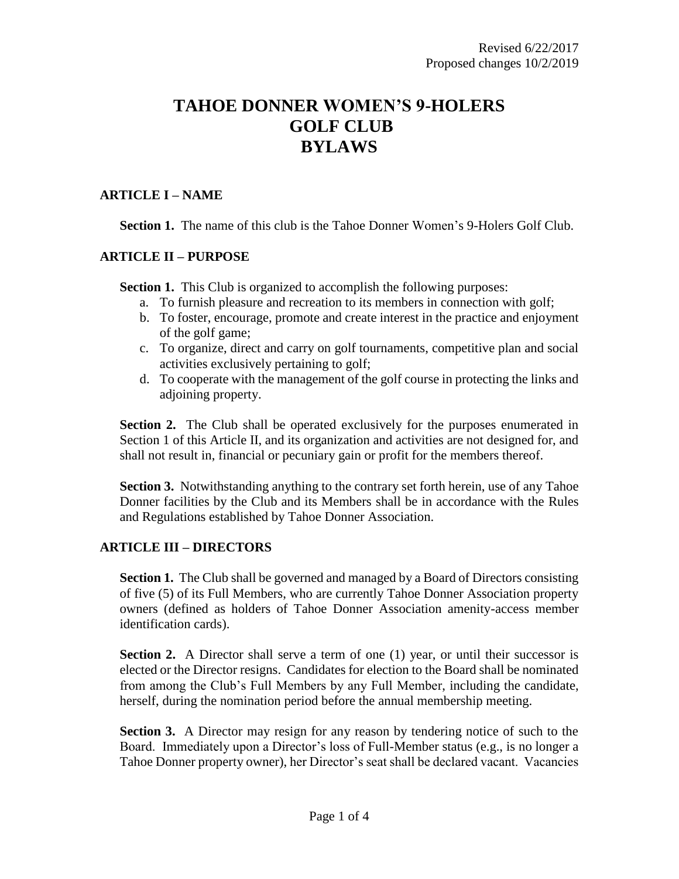# **TAHOE DONNER WOMEN'S 9-HOLERS GOLF CLUB BYLAWS**

## **ARTICLE I – NAME**

**Section 1.** The name of this club is the Tahoe Donner Women's 9-Holers Golf Club.

## **ARTICLE II – PURPOSE**

**Section 1.** This Club is organized to accomplish the following purposes:

- a. To furnish pleasure and recreation to its members in connection with golf;
- b. To foster, encourage, promote and create interest in the practice and enjoyment of the golf game;
- c. To organize, direct and carry on golf tournaments, competitive plan and social activities exclusively pertaining to golf;
- d. To cooperate with the management of the golf course in protecting the links and adjoining property.

**Section 2.** The Club shall be operated exclusively for the purposes enumerated in Section 1 of this Article II, and its organization and activities are not designed for, and shall not result in, financial or pecuniary gain or profit for the members thereof.

**Section 3.** Notwithstanding anything to the contrary set forth herein, use of any Tahoe Donner facilities by the Club and its Members shall be in accordance with the Rules and Regulations established by Tahoe Donner Association.

#### **ARTICLE III – DIRECTORS**

**Section 1.** The Club shall be governed and managed by a Board of Directors consisting of five (5) of its Full Members, who are currently Tahoe Donner Association property owners (defined as holders of Tahoe Donner Association amenity-access member identification cards).

**Section 2.** A Director shall serve a term of one (1) year, or until their successor is elected or the Director resigns. Candidates for election to the Board shall be nominated from among the Club's Full Members by any Full Member, including the candidate, herself, during the nomination period before the annual membership meeting.

**Section 3.** A Director may resign for any reason by tendering notice of such to the Board. Immediately upon a Director's loss of Full-Member status (e.g., is no longer a Tahoe Donner property owner), her Director's seat shall be declared vacant. Vacancies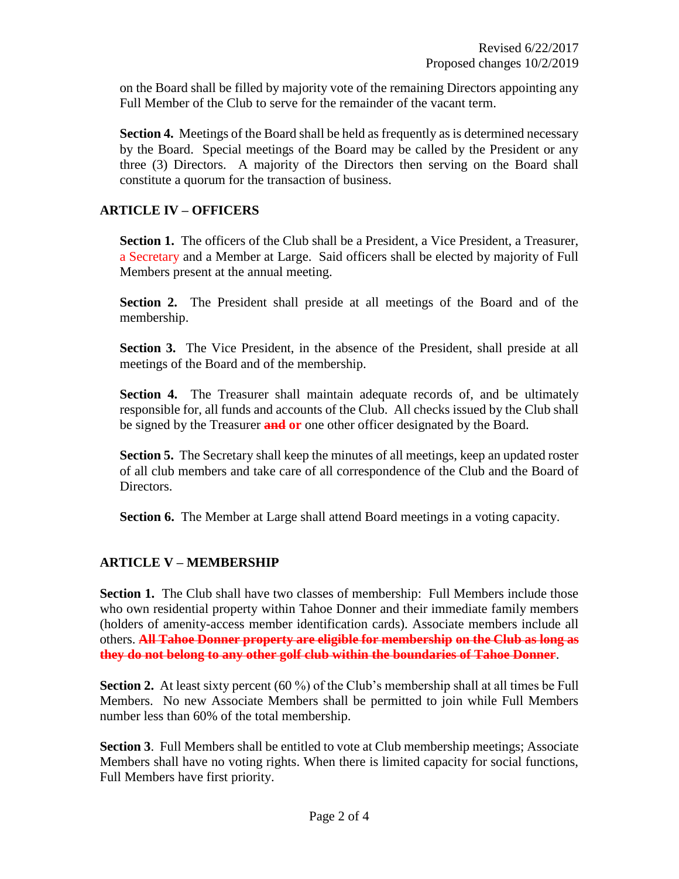on the Board shall be filled by majority vote of the remaining Directors appointing any Full Member of the Club to serve for the remainder of the vacant term.

**Section 4.** Meetings of the Board shall be held as frequently as is determined necessary by the Board. Special meetings of the Board may be called by the President or any three (3) Directors. A majority of the Directors then serving on the Board shall constitute a quorum for the transaction of business.

## **ARTICLE IV – OFFICERS**

**Section 1.** The officers of the Club shall be a President, a Vice President, a Treasurer, a Secretary and a Member at Large. Said officers shall be elected by majority of Full Members present at the annual meeting.

**Section 2.** The President shall preside at all meetings of the Board and of the membership.

**Section 3.** The Vice President, in the absence of the President, shall preside at all meetings of the Board and of the membership.

**Section 4.** The Treasurer shall maintain adequate records of, and be ultimately responsible for, all funds and accounts of the Club. All checks issued by the Club shall be signed by the Treasurer **and or** one other officer designated by the Board.

**Section 5.** The Secretary shall keep the minutes of all meetings, keep an updated roster of all club members and take care of all correspondence of the Club and the Board of Directors.

**Section 6.** The Member at Large shall attend Board meetings in a voting capacity.

# **ARTICLE V – MEMBERSHIP**

**Section 1.** The Club shall have two classes of membership: Full Members include those who own residential property within Tahoe Donner and their immediate family members (holders of amenity-access member identification cards). Associate members include all others. **All Tahoe Donner property are eligible for membership on the Club as long as they do not belong to any other golf club within the boundaries of Tahoe Donner**.

**Section 2.** At least sixty percent (60 %) of the Club's membership shall at all times be Full Members. No new Associate Members shall be permitted to join while Full Members number less than 60% of the total membership.

**Section 3**. Full Members shall be entitled to vote at Club membership meetings; Associate Members shall have no voting rights. When there is limited capacity for social functions, Full Members have first priority.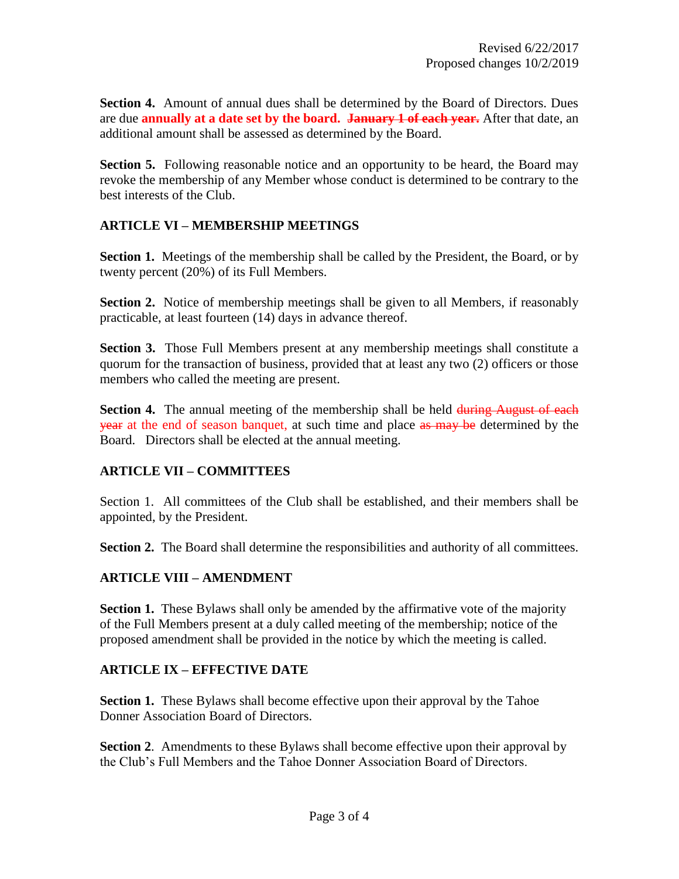**Section 4.** Amount of annual dues shall be determined by the Board of Directors. Dues are due **annually at a date set by the board. January 1 of each year.** After that date, an additional amount shall be assessed as determined by the Board.

**Section 5.** Following reasonable notice and an opportunity to be heard, the Board may revoke the membership of any Member whose conduct is determined to be contrary to the best interests of the Club.

## **ARTICLE VI – MEMBERSHIP MEETINGS**

Section 1. Meetings of the membership shall be called by the President, the Board, or by twenty percent (20%) of its Full Members.

**Section 2.** Notice of membership meetings shall be given to all Members, if reasonably practicable, at least fourteen (14) days in advance thereof.

**Section 3.** Those Full Members present at any membership meetings shall constitute a quorum for the transaction of business, provided that at least any two (2) officers or those members who called the meeting are present.

**Section 4.** The annual meeting of the membership shall be held during August of each year at the end of season banquet, at such time and place as may be determined by the Board. Directors shall be elected at the annual meeting.

# **ARTICLE VII – COMMITTEES**

Section 1. All committees of the Club shall be established, and their members shall be appointed, by the President.

**Section 2.** The Board shall determine the responsibilities and authority of all committees.

# **ARTICLE VIII – AMENDMENT**

**Section 1.** These Bylaws shall only be amended by the affirmative vote of the majority of the Full Members present at a duly called meeting of the membership; notice of the proposed amendment shall be provided in the notice by which the meeting is called.

#### **ARTICLE IX – EFFECTIVE DATE**

**Section 1.** These Bylaws shall become effective upon their approval by the Tahoe Donner Association Board of Directors.

**Section 2**. Amendments to these Bylaws shall become effective upon their approval by the Club's Full Members and the Tahoe Donner Association Board of Directors.